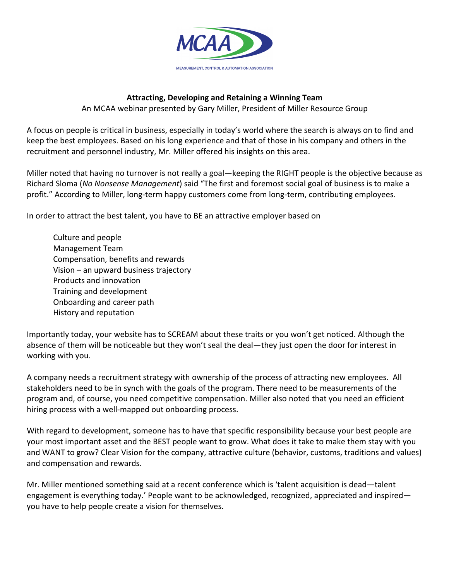

## **Attracting, Developing and Retaining a Winning Team**

An MCAA webinar presented by Gary Miller, President of Miller Resource Group

A focus on people is critical in business, especially in today's world where the search is always on to find and keep the best employees. Based on his long experience and that of those in his company and others in the recruitment and personnel industry, Mr. Miller offered his insights on this area.

Miller noted that having no turnover is not really a goal—keeping the RIGHT people is the objective because as Richard Sloma (No Nonsense Management) said "The first and foremost social goal of business is to make a profit." According to Miller, long-term happy customers come from long-term, contributing employees.

In order to attract the best talent, you have to BE an attractive employer based on

Culture and people Management Team Compensation, benefits and rewards Vision – an upward business trajectory Products and innovation Training and development Onboarding and career path History and reputation

Importantly today, your website has to SCREAM about these traits or you won't get noticed. Although the absence of them will be noticeable but they won't seal the deal—they just open the door for interest in working with you.

A company needs a recruitment strategy with ownership of the process of attracting new employees. All stakeholders need to be in synch with the goals of the program. There need to be measurements of the program and, of course, you need competitive compensation. Miller also noted that you need an efficient hiring process with a well-mapped out onboarding process.

With regard to development, someone has to have that specific responsibility because your best people are your most important asset and the BEST people want to grow. What does it take to make them stay with you and WANT to grow? Clear Vision for the company, attractive culture (behavior, customs, traditions and values) and compensation and rewards.

Mr. Miller mentioned something said at a recent conference which is 'talent acquisition is dead—talent engagement is everything today.' People want to be acknowledged, recognized, appreciated and inspired you have to help people create a vision for themselves.